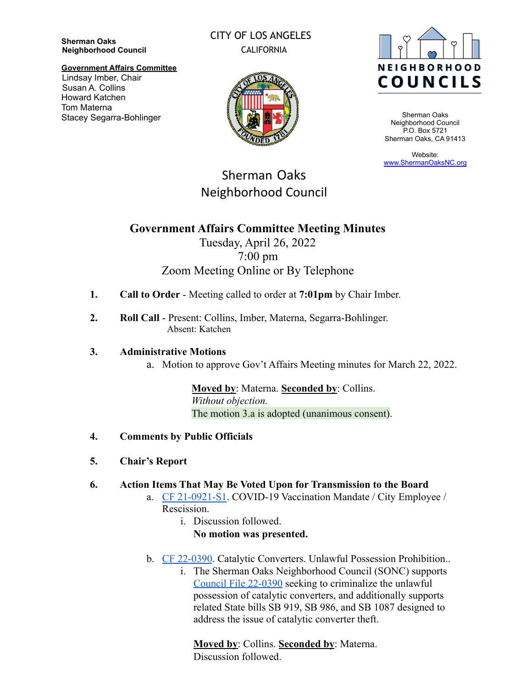**Sherman Oaks Neighborhood Council**

## CITY OF LOS ANGELES CALIFORNIA



Sherman Oaks Neighborhood Council P.O. Box 5721 Sherman Oaks, CA 91413

Website: [www.ShermanOaksNC.org](http://www.shermanoaksnc.org)

#### **Government Affairs Committee** Lindsay Imber, Chair Susan A. Collins Howard Katchen Tom Materna Stacey Segarra-Bohlinger



# Sherman Oaks Neighborhood Council

# **Government Affairs Committee Meeting Minutes**

# Tuesday, April 26, 2022 7:00 pm Zoom Meeting Online or By Telephone

- **1. Call to Order** Meeting called to order at **7:01pm** by Chair Imber.
- **2. Roll Call** Present: Collins, Imber, Materna, Segarra-Bohlinger. Absent: Katchen

### **3. Administrative Motions**

a. Motion to approve Gov't Affairs Meeting minutes for March 22, 2022.

**Moved by**: Materna. **Seconded by**: Collins. *Without objection.* The motion 3.a is adopted (unanimous consent).

- **4. Comments by Public Officials**
- **5. Chair's Report**

### **6. Action Items That May Be Voted Upon for Transmission to the Board**

- a. [CF 21-0921-S1](https://cityclerk.lacity.org/lacityclerkconnect/index.cfm?fa=ccfi.viewrecord&cfnumber=21-0921-S1). COVID-19 Vaccination Mandate / City Employee / Rescission.
	- i. Discussion followed. **No motion was presented.**
- b. [CF 22-0390](https://cityclerk.lacity.org/lacityclerkconnect/index.cfm?fa=ccfi.viewrecord&cfnumber=22-0390). Catalytic Converters. Unlawful Possession Prohibition..
	- i. The Sherman Oaks Neighborhood Council (SONC) supports [Council File 22-0390](https://cityclerk.lacity.org/lacityclerkconnect/index.cfm?fa=ccfi.viewrecord&cfnumber=22-0390) seeking to criminalize the unlawful possession of catalytic converters, and additionally supports related State bills SB 919, SB 986, and SB 1087 designed to address the issue of catalytic converter theft.

**Moved by**: Collins. **Seconded by**: Materna. Discussion followed.